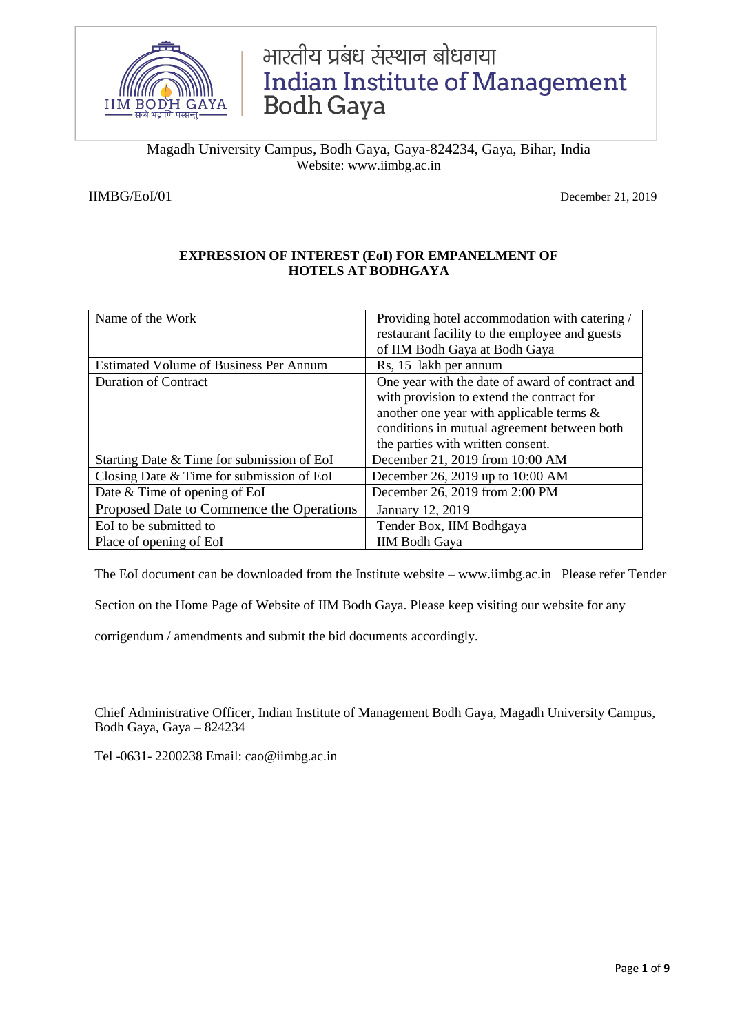

# भारतीय प्रबंध संस्थान बोधगया Indian Institute of Management<br>Bodh Gaya

Magadh University Campus, Bodh Gaya, Gaya-824234, Gaya, Bihar, India Website: www.iimbg.ac.in

IIMBG/EoI/01 December 21, 2019

# **EXPRESSION OF INTEREST (EoI) FOR EMPANELMENT OF HOTELS AT BODHGAYA**

| Name of the Work                              | Providing hotel accommodation with catering /<br>restaurant facility to the employee and guests<br>of IIM Bodh Gaya at Bodh Gaya |
|-----------------------------------------------|----------------------------------------------------------------------------------------------------------------------------------|
| <b>Estimated Volume of Business Per Annum</b> | Rs, 15 lakh per annum                                                                                                            |
| <b>Duration of Contract</b>                   | One year with the date of award of contract and                                                                                  |
|                                               | with provision to extend the contract for                                                                                        |
|                                               | another one year with applicable terms $\&$                                                                                      |
|                                               | conditions in mutual agreement between both                                                                                      |
|                                               | the parties with written consent.                                                                                                |
| Starting Date & Time for submission of EoI    | December 21, 2019 from 10:00 AM                                                                                                  |
| Closing Date $&$ Time for submission of EoI   | December 26, 2019 up to 10:00 AM                                                                                                 |
| Date & Time of opening of EoI                 | December 26, 2019 from 2:00 PM                                                                                                   |
| Proposed Date to Commence the Operations      | January 12, 2019                                                                                                                 |
| EoI to be submitted to                        | Tender Box, IIM Bodhgaya                                                                                                         |
| Place of opening of EoI                       | <b>IIM Bodh Gaya</b>                                                                                                             |

The EoI document can be downloaded from the Institute website – www.iimbg.ac.in Please refer Tender

Section on the Home Page of Website of IIM Bodh Gaya. Please keep visiting our website for any

corrigendum / amendments and submit the bid documents accordingly.

Chief Administrative Officer, Indian Institute of Management Bodh Gaya, Magadh University Campus, Bodh Gaya, Gaya – 824234

Tel -0631- 2200238 Email: cao@iimbg.ac.in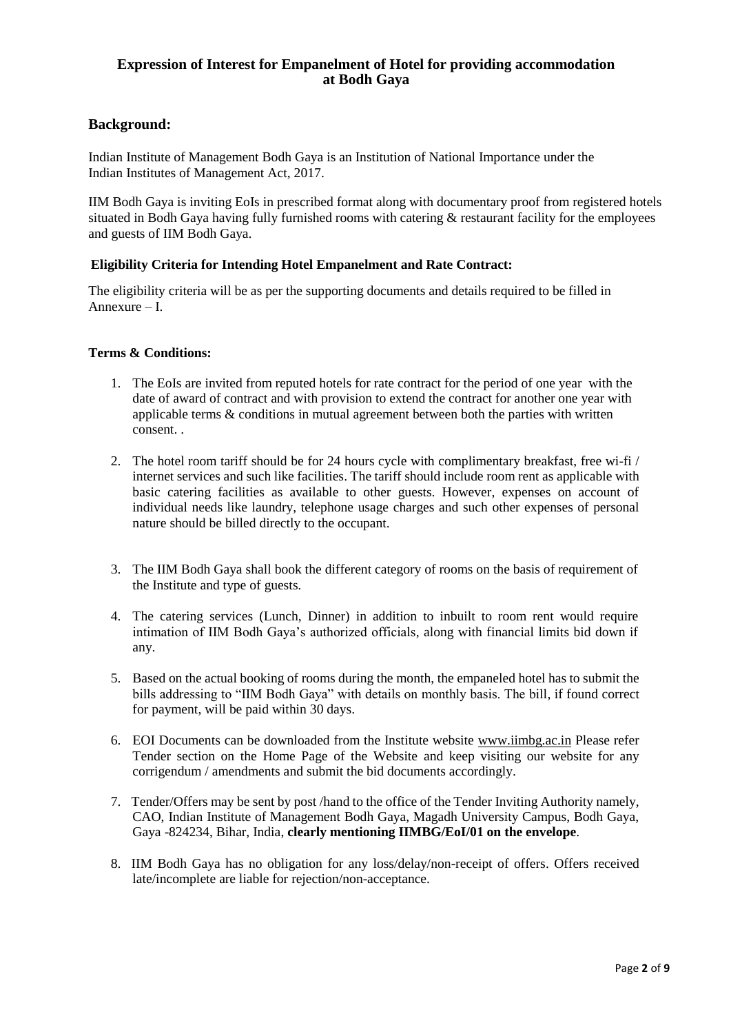# **Expression of Interest for Empanelment of Hotel for providing accommodation at Bodh Gaya**

# **Background:**

Indian Institute of Management Bodh Gaya is an Institution of National Importance under the Indian Institutes of Management Act, 2017.

IIM Bodh Gaya is inviting EoIs in prescribed format along with documentary proof from registered hotels situated in Bodh Gaya having fully furnished rooms with catering & restaurant facility for the employees and guests of IIM Bodh Gaya.

## **Eligibility Criteria for Intending Hotel Empanelment and Rate Contract:**

The eligibility criteria will be as per the supporting documents and details required to be filled in Annexure – I.

## **Terms & Conditions:**

- 1. The EoIs are invited from reputed hotels for rate contract for the period of one year with the date of award of contract and with provision to extend the contract for another one year with applicable terms & conditions in mutual agreement between both the parties with written consent. .
- 2. The hotel room tariff should be for 24 hours cycle with complimentary breakfast, free wi-fi / internet services and such like facilities. The tariff should include room rent as applicable with basic catering facilities as available to other guests. However, expenses on account of individual needs like laundry, telephone usage charges and such other expenses of personal nature should be billed directly to the occupant.
- 3. The IIM Bodh Gaya shall book the different category of rooms on the basis of requirement of the Institute and type of guests.
- 4. The catering services (Lunch, Dinner) in addition to inbuilt to room rent would require intimation of IIM Bodh Gaya's authorized officials, along with financial limits bid down if any.
- 5. Based on the actual booking of rooms during the month, the empaneled hotel has to submit the bills addressing to "IIM Bodh Gaya" with details on monthly basis. The bill, if found correct for payment, will be paid within 30 days.
- 6. EOI Documents can be downloaded from the Institute website www.iimbg.ac.in Please refer Tender section on the Home Page of the Website and keep visiting our website for any corrigendum / amendments and submit the bid documents accordingly.
- 7. Tender/Offers may be sent by post /hand to the office of the Tender Inviting Authority namely, CAO, Indian Institute of Management Bodh Gaya, Magadh University Campus, Bodh Gaya, Gaya -824234, Bihar, India, **clearly mentioning IIMBG/EoI/01 on the envelope**.
- 8. IIM Bodh Gaya has no obligation for any loss/delay/non-receipt of offers. Offers received late/incomplete are liable for rejection/non-acceptance.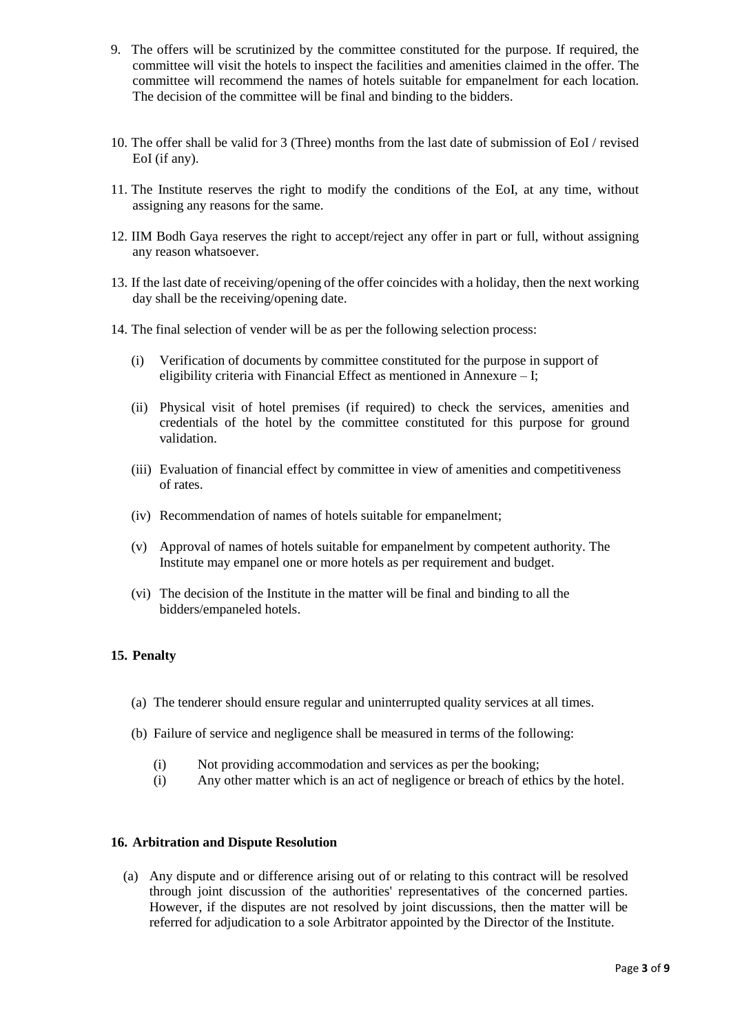- 9. The offers will be scrutinized by the committee constituted for the purpose. If required, the committee will visit the hotels to inspect the facilities and amenities claimed in the offer. The committee will recommend the names of hotels suitable for empanelment for each location. The decision of the committee will be final and binding to the bidders.
- 10. The offer shall be valid for 3 (Three) months from the last date of submission of EoI / revised EoI (if any).
- 11. The Institute reserves the right to modify the conditions of the EoI, at any time, without assigning any reasons for the same.
- 12. IIM Bodh Gaya reserves the right to accept/reject any offer in part or full, without assigning any reason whatsoever.
- 13. If the last date of receiving/opening of the offer coincides with a holiday, then the next working day shall be the receiving/opening date.
- 14. The final selection of vender will be as per the following selection process:
	- (i) Verification of documents by committee constituted for the purpose in support of eligibility criteria with Financial Effect as mentioned in Annexure – I;
	- (ii) Physical visit of hotel premises (if required) to check the services, amenities and credentials of the hotel by the committee constituted for this purpose for ground validation.
	- (iii) Evaluation of financial effect by committee in view of amenities and competitiveness of rates.
	- (iv) Recommendation of names of hotels suitable for empanelment;
	- (v) Approval of names of hotels suitable for empanelment by competent authority. The Institute may empanel one or more hotels as per requirement and budget.
	- (vi) The decision of the Institute in the matter will be final and binding to all the bidders/empaneled hotels.

## **15. Penalty**

- (a) The tenderer should ensure regular and uninterrupted quality services at all times.
- (b) Failure of service and negligence shall be measured in terms of the following:
	- (i) Not providing accommodation and services as per the booking;
	- (i) Any other matter which is an act of negligence or breach of ethics by the hotel.

#### **16. Arbitration and Dispute Resolution**

(a) Any dispute and or difference arising out of or relating to this contract will be resolved through joint discussion of the authorities' representatives of the concerned parties. However, if the disputes are not resolved by joint discussions, then the matter will be referred for adjudication to a sole Arbitrator appointed by the Director of the Institute.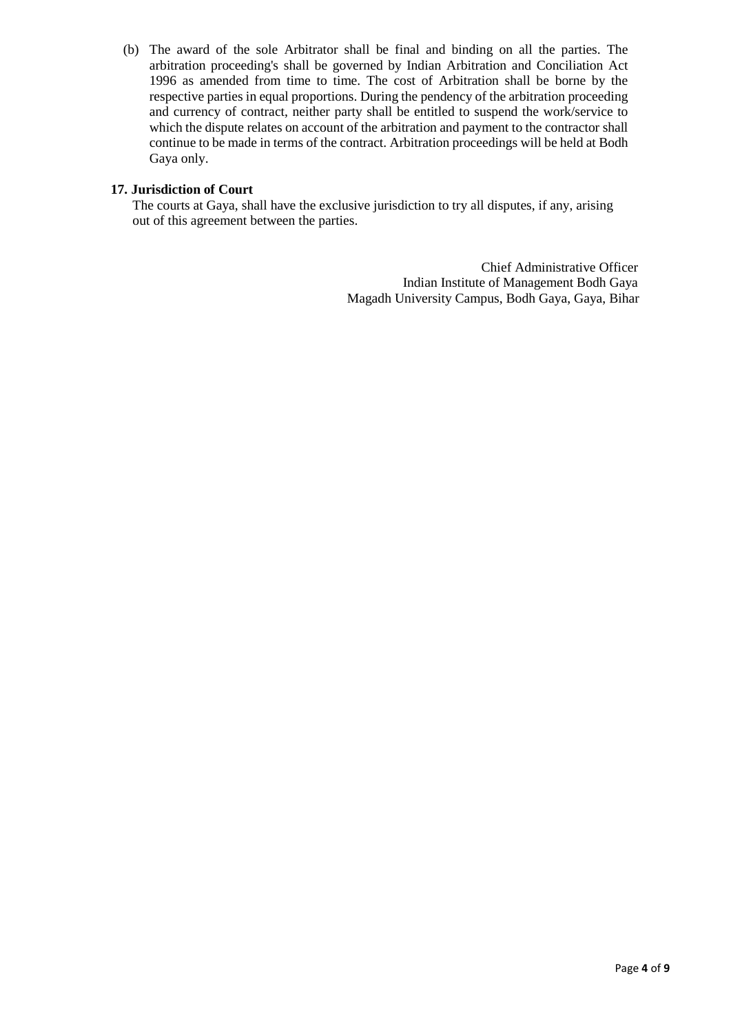(b) The award of the sole Arbitrator shall be final and binding on all the parties. The arbitration proceeding's shall be governed by Indian Arbitration and Conciliation Act 1996 as amended from time to time. The cost of Arbitration shall be borne by the respective parties in equal proportions. During the pendency of the arbitration proceeding and currency of contract, neither party shall be entitled to suspend the work/service to which the dispute relates on account of the arbitration and payment to the contractor shall continue to be made in terms of the contract. Arbitration proceedings will be held at Bodh Gaya only.

# **17. Jurisdiction of Court**

The courts at Gaya, shall have the exclusive jurisdiction to try all disputes, if any, arising out of this agreement between the parties.

> Chief Administrative Officer Indian Institute of Management Bodh Gaya Magadh University Campus, Bodh Gaya, Gaya, Bihar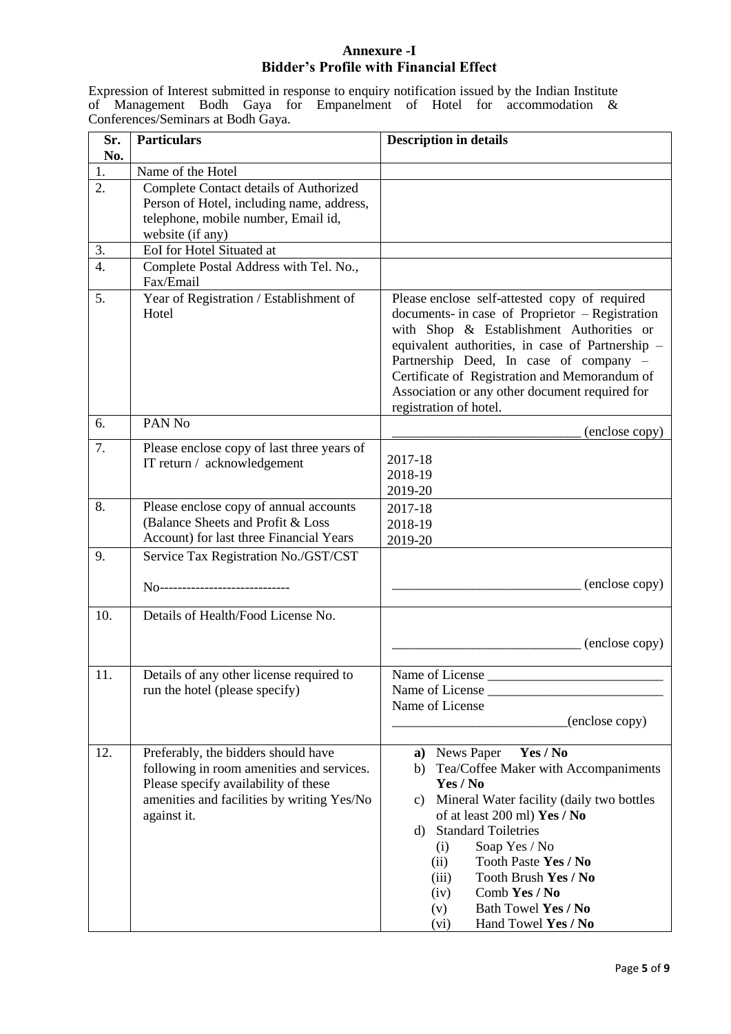# **Annexure -I Bidder's Profile with Financial Effect**

Expression of Interest submitted in response to enquiry notification issued by the Indian Institute of Management Bodh Gaya for Empanelment of Hotel for accommodation & Conferences/Seminars at Bodh Gaya.

| Sr.<br>No.       | <b>Particulars</b>                                                                                                                                                                    | <b>Description in details</b>                                                                                                                                                                                                                                                                                                                                                          |
|------------------|---------------------------------------------------------------------------------------------------------------------------------------------------------------------------------------|----------------------------------------------------------------------------------------------------------------------------------------------------------------------------------------------------------------------------------------------------------------------------------------------------------------------------------------------------------------------------------------|
| 1.               | Name of the Hotel                                                                                                                                                                     |                                                                                                                                                                                                                                                                                                                                                                                        |
| $\overline{2}$ . | Complete Contact details of Authorized<br>Person of Hotel, including name, address,<br>telephone, mobile number, Email id,<br>website (if any)                                        |                                                                                                                                                                                                                                                                                                                                                                                        |
| 3.               | EoI for Hotel Situated at                                                                                                                                                             |                                                                                                                                                                                                                                                                                                                                                                                        |
| $\overline{4}$ . | Complete Postal Address with Tel. No.,<br>Fax/Email                                                                                                                                   |                                                                                                                                                                                                                                                                                                                                                                                        |
| 5.               | Year of Registration / Establishment of<br>Hotel                                                                                                                                      | Please enclose self-attested copy of required<br>documents- in case of Proprietor - Registration<br>with Shop & Establishment Authorities or<br>equivalent authorities, in case of Partnership -<br>Partnership Deed, In case of company -<br>Certificate of Registration and Memorandum of<br>Association or any other document required for<br>registration of hotel.                |
| 6.               | PAN No                                                                                                                                                                                | (enclose copy)                                                                                                                                                                                                                                                                                                                                                                         |
| 7.               | Please enclose copy of last three years of<br>IT return / acknowledgement                                                                                                             | 2017-18<br>2018-19<br>2019-20                                                                                                                                                                                                                                                                                                                                                          |
| 8.               | Please enclose copy of annual accounts<br>(Balance Sheets and Profit & Loss<br>Account) for last three Financial Years                                                                | 2017-18<br>2018-19<br>2019-20                                                                                                                                                                                                                                                                                                                                                          |
| 9.               | Service Tax Registration No./GST/CST                                                                                                                                                  |                                                                                                                                                                                                                                                                                                                                                                                        |
|                  | No-----------------------------                                                                                                                                                       | (enclose copy)                                                                                                                                                                                                                                                                                                                                                                         |
| 10.              | Details of Health/Food License No.                                                                                                                                                    | (enclose copy)                                                                                                                                                                                                                                                                                                                                                                         |
| 11.              | Details of any other license required to<br>run the hotel (please specify)                                                                                                            | Name of License<br>Name of License<br>Name of License<br>(enclose copy)                                                                                                                                                                                                                                                                                                                |
| 12.              | Preferably, the bidders should have<br>following in room amenities and services.<br>Please specify availability of these<br>amenities and facilities by writing Yes/No<br>against it. | a) News Paper<br>Yes / No<br>Tea/Coffee Maker with Accompaniments<br>b)<br>Yes / No<br>c) Mineral Water facility (daily two bottles<br>of at least 200 ml) Yes / No<br><b>Standard Toiletries</b><br>d)<br>Soap Yes / No<br>(i)<br>Tooth Paste Yes / No<br>(ii)<br>Tooth Brush Yes / No<br>(iii)<br>Comb Yes / No<br>(iv)<br>Bath Towel Yes / No<br>(v)<br>Hand Towel Yes / No<br>(vi) |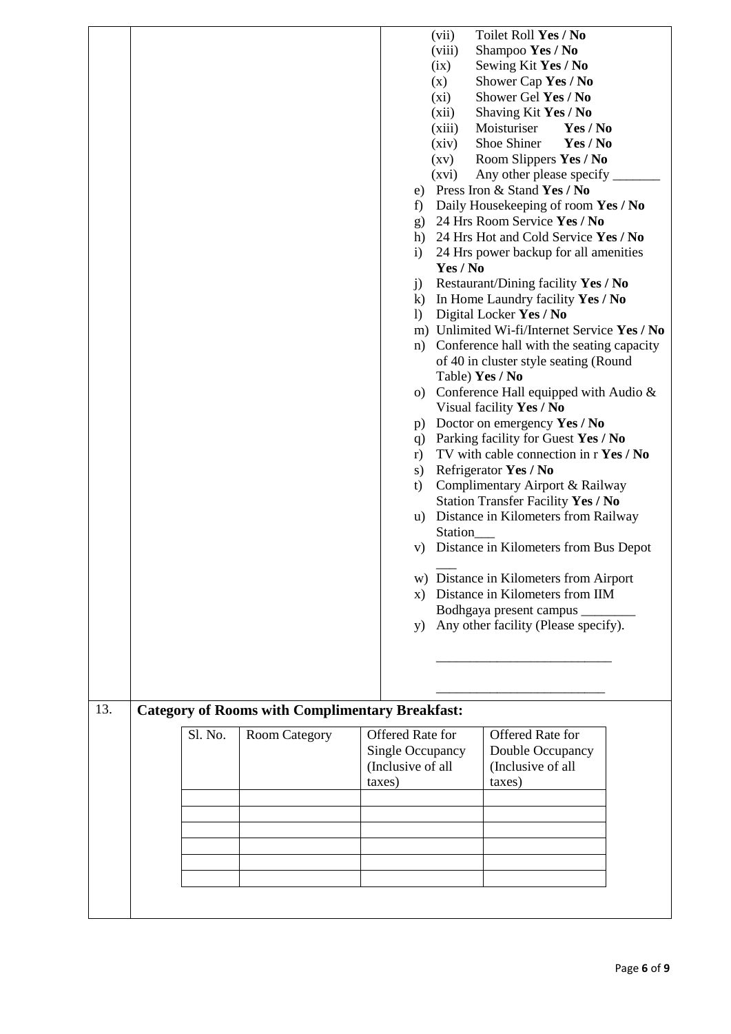|     |         |                                                        |        | e)<br>f)<br>g)<br>h)<br>$\mathbf{i}$<br>j)<br>$\bf k)$<br>$\left( \right)$<br>n)<br>p)<br>q)<br>r)<br>s)<br>t)<br>u)<br>X)<br>y) | (vii)<br>(viii)<br>(ix)<br>(x)<br>$(x_i)$<br>(xii)<br>(xiii)<br>(xiv)<br>(xv)<br>(xvi)<br>Yes / No<br>Table) Yes / No<br>Station | Toilet Roll Yes / No<br>Shampoo Yes / No<br>Sewing Kit Yes / No<br>Shower Cap Yes / No<br>Shower Gel Yes / No<br>Shaving Kit Yes / No<br>Moisturiser<br>Yes / No<br>Shoe Shiner<br>Yes / No<br>Room Slippers Yes / No<br>Any other please specify<br>Press Iron & Stand Yes / No<br>Daily Housekeeping of room Yes / No<br>24 Hrs Room Service Yes / No<br>24 Hrs Hot and Cold Service Yes / No<br>24 Hrs power backup for all amenities<br>Restaurant/Dining facility Yes / No<br>In Home Laundry facility Yes / No<br>Digital Locker Yes / No<br>m) Unlimited Wi-fi/Internet Service Yes / No<br>Conference hall with the seating capacity<br>of 40 in cluster style seating (Round<br>o) Conference Hall equipped with Audio $\&$<br>Visual facility Yes / No<br>Doctor on emergency Yes / No<br>Parking facility for Guest Yes / No<br>TV with cable connection in r Yes / No<br>Refrigerator Yes / No<br>Complimentary Airport & Railway<br>Station Transfer Facility Yes / No<br>Distance in Kilometers from Railway<br>v) Distance in Kilometers from Bus Depot<br>w) Distance in Kilometers from Airport<br>Distance in Kilometers from IIM<br>Bodhgaya present campus<br>Any other facility (Please specify). |  |
|-----|---------|--------------------------------------------------------|--------|----------------------------------------------------------------------------------------------------------------------------------|----------------------------------------------------------------------------------------------------------------------------------|------------------------------------------------------------------------------------------------------------------------------------------------------------------------------------------------------------------------------------------------------------------------------------------------------------------------------------------------------------------------------------------------------------------------------------------------------------------------------------------------------------------------------------------------------------------------------------------------------------------------------------------------------------------------------------------------------------------------------------------------------------------------------------------------------------------------------------------------------------------------------------------------------------------------------------------------------------------------------------------------------------------------------------------------------------------------------------------------------------------------------------------------------------------------------------------------------------------------|--|
|     |         |                                                        |        |                                                                                                                                  |                                                                                                                                  |                                                                                                                                                                                                                                                                                                                                                                                                                                                                                                                                                                                                                                                                                                                                                                                                                                                                                                                                                                                                                                                                                                                                                                                                                        |  |
| 13. |         | <b>Category of Rooms with Complimentary Breakfast:</b> |        |                                                                                                                                  |                                                                                                                                  |                                                                                                                                                                                                                                                                                                                                                                                                                                                                                                                                                                                                                                                                                                                                                                                                                                                                                                                                                                                                                                                                                                                                                                                                                        |  |
|     | Sl. No. | <b>Room Category</b>                                   | taxes) | Offered Rate for<br>Single Occupancy<br>(Inclusive of all                                                                        |                                                                                                                                  | <b>Offered Rate for</b><br>Double Occupancy<br>(Inclusive of all<br>taxes)                                                                                                                                                                                                                                                                                                                                                                                                                                                                                                                                                                                                                                                                                                                                                                                                                                                                                                                                                                                                                                                                                                                                             |  |
|     |         |                                                        |        |                                                                                                                                  |                                                                                                                                  |                                                                                                                                                                                                                                                                                                                                                                                                                                                                                                                                                                                                                                                                                                                                                                                                                                                                                                                                                                                                                                                                                                                                                                                                                        |  |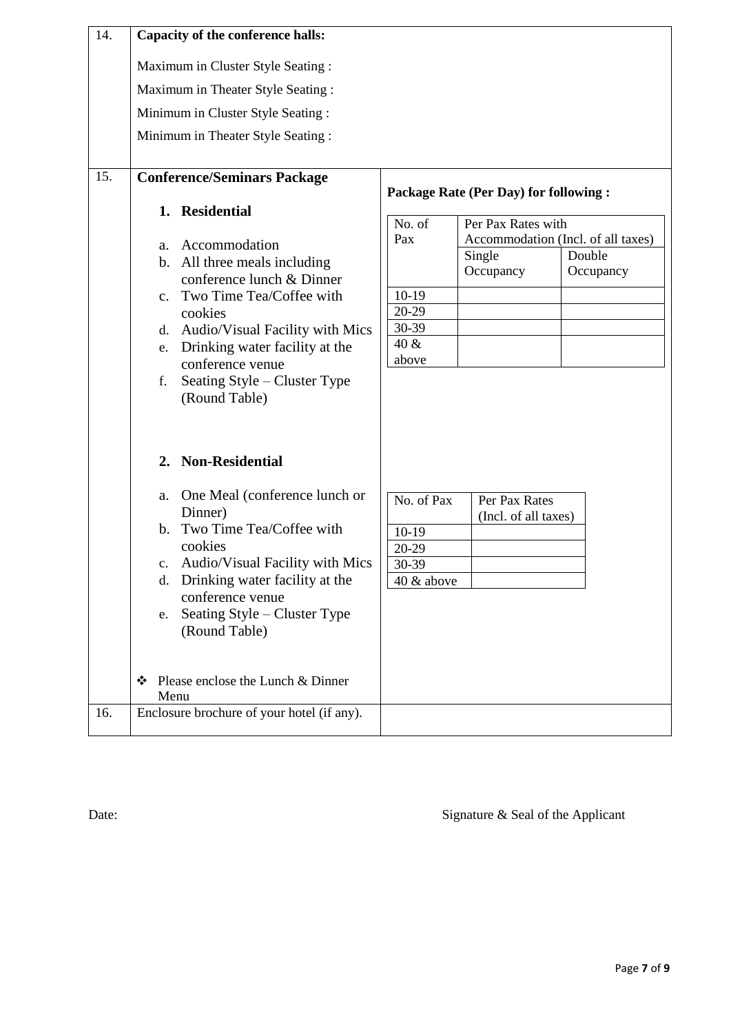| 14. | Capacity of the conference halls:                                                                                                                                                                                                                                                                                         |                                                                                                                         |  |  |  |  |
|-----|---------------------------------------------------------------------------------------------------------------------------------------------------------------------------------------------------------------------------------------------------------------------------------------------------------------------------|-------------------------------------------------------------------------------------------------------------------------|--|--|--|--|
|     | Maximum in Cluster Style Seating :                                                                                                                                                                                                                                                                                        |                                                                                                                         |  |  |  |  |
|     | Maximum in Theater Style Seating:                                                                                                                                                                                                                                                                                         |                                                                                                                         |  |  |  |  |
|     | Minimum in Cluster Style Seating:                                                                                                                                                                                                                                                                                         |                                                                                                                         |  |  |  |  |
|     | Minimum in Theater Style Seating :                                                                                                                                                                                                                                                                                        |                                                                                                                         |  |  |  |  |
|     |                                                                                                                                                                                                                                                                                                                           |                                                                                                                         |  |  |  |  |
| 15. | <b>Conference/Seminars Package</b>                                                                                                                                                                                                                                                                                        | Package Rate (Per Day) for following :                                                                                  |  |  |  |  |
|     | 1. Residential<br>Accommodation<br>a.<br>b. All three meals including                                                                                                                                                                                                                                                     | Per Pax Rates with<br>No. of<br>Accommodation (Incl. of all taxes)<br>Pax<br>Double<br>Single<br>Occupancy<br>Occupancy |  |  |  |  |
|     | conference lunch & Dinner<br>c. Two Time Tea/Coffee with<br>cookies<br>Audio/Visual Facility with Mics<br>d.<br>Drinking water facility at the<br>e.<br>conference venue<br>Seating Style – Cluster Type<br>f.<br>(Round Table)                                                                                           | $10-19$<br>20-29<br>30-39<br>40 &<br>above                                                                              |  |  |  |  |
|     | 2. Non-Residential<br>One Meal (conference lunch or<br>a.<br>Dinner)<br>b. Two Time Tea/Coffee with<br>cookies<br>c. Audio/Visual Facility with Mics<br>Drinking water facility at the<br>d.<br>conference venue<br>Seating Style - Cluster Type<br>e.<br>(Round Table)<br>Please enclose the Lunch & Dinner<br>❖<br>Menu | No. of Pax<br>Per Pax Rates<br>(Incl. of all taxes)<br>$10-19$<br>20-29<br>30-39<br>40 & above                          |  |  |  |  |
| 16. | Enclosure brochure of your hotel (if any).                                                                                                                                                                                                                                                                                |                                                                                                                         |  |  |  |  |

Date: Signature & Seal of the Applicant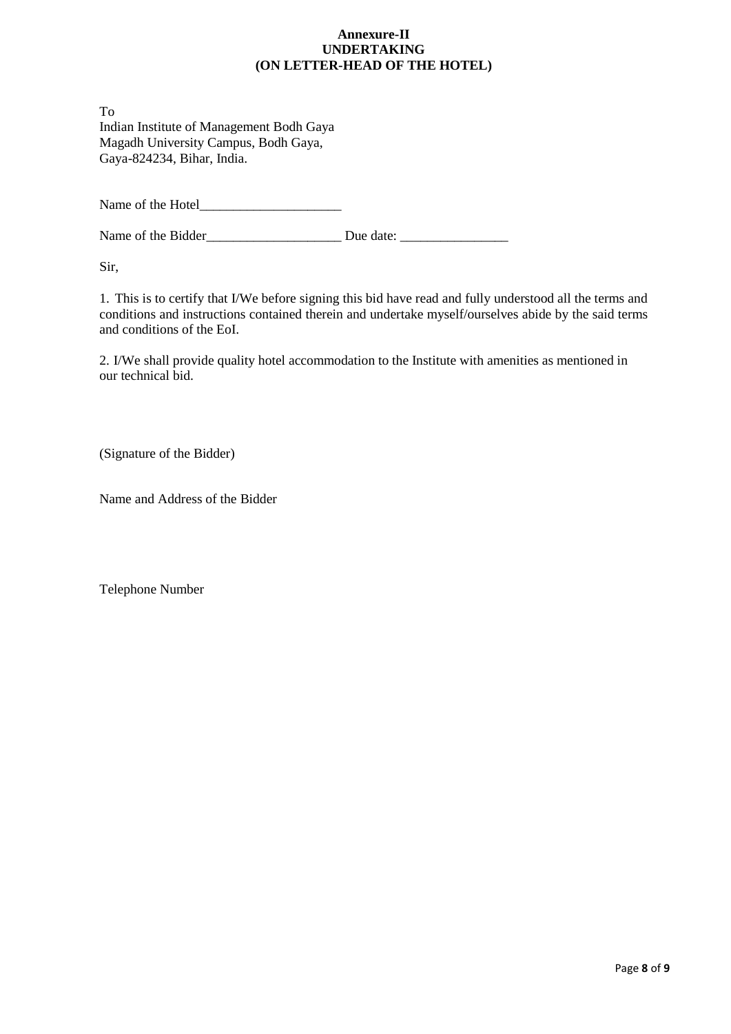# **Annexure-II UNDERTAKING (ON LETTER-HEAD OF THE HOTEL)**

To Indian Institute of Management Bodh Gaya Magadh University Campus, Bodh Gaya, Gaya-824234, Bihar, India.

Name of the Hotel

Name of the Bidder\_\_\_\_\_\_\_\_\_\_\_\_\_\_\_\_\_\_\_\_ Due date: \_\_\_\_\_\_\_\_\_\_\_\_\_\_\_\_

Sir,

1. This is to certify that I/We before signing this bid have read and fully understood all the terms and conditions and instructions contained therein and undertake myself/ourselves abide by the said terms and conditions of the EoI.

2. I/We shall provide quality hotel accommodation to the Institute with amenities as mentioned in our technical bid.

(Signature of the Bidder)

Name and Address of the Bidder

Telephone Number